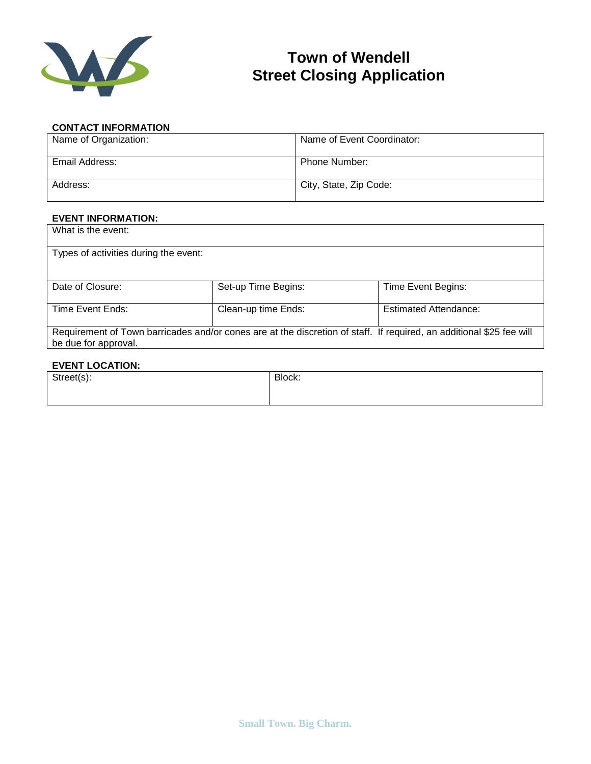

## **Town of Wendell Street Closing Application**

## **CONTACT INFORMATION**

| Name of Organization: | Name of Event Coordinator: |
|-----------------------|----------------------------|
| Email Address:        | <b>Phone Number:</b>       |
| Address:              | City, State, Zip Code:     |

## **EVENT INFORMATION:**

| What is the event:                                                                                                                           |                     |                              |
|----------------------------------------------------------------------------------------------------------------------------------------------|---------------------|------------------------------|
| Types of activities during the event:                                                                                                        |                     |                              |
|                                                                                                                                              |                     |                              |
| Date of Closure:                                                                                                                             | Set-up Time Begins: | Time Event Begins:           |
| Time Event Ends:                                                                                                                             | Clean-up time Ends: | <b>Estimated Attendance:</b> |
| Requirement of Town barricades and/or cones are at the discretion of staff. If required, an additional \$25 fee will<br>be due for approval. |                     |                              |

## **EVENT LOCATION:**

| Street(s): | Block: |
|------------|--------|
|            |        |
|            |        |